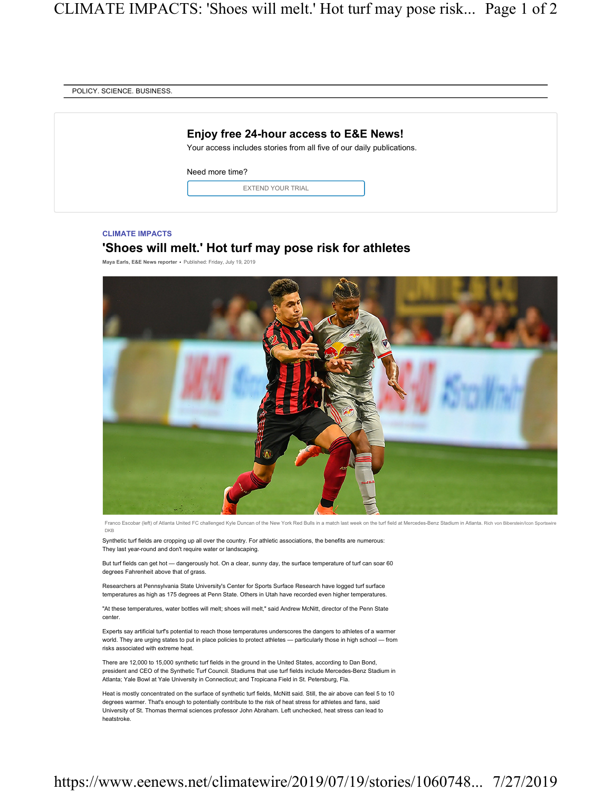| Enjoy free 24-hour access to E&E News!<br>Your access includes stories from all five of our daily publications. |  |
|-----------------------------------------------------------------------------------------------------------------|--|
| Need more time?                                                                                                 |  |
| <b>EXTEND YOUR TRIAL</b>                                                                                        |  |
|                                                                                                                 |  |

## CLIMATE IMPACTS

## 'Shoes will melt.' Hot turf may pose risk for athletes

Maya Earls, E&E News reporter • Published: Friday, July 19, 2019



Franco Escobar (left) of Atlanta United FC challenged Kyle Duncan of the New York Red Bulls in a match last week on the turf field at Mercedes-Benz Stadium in Atlanta. Rich von Biberstein/Icon Sportswire DKB

Synthetic turf fields are cropping up all over the country. For athletic associations, the benefits are numerous: They last year-round and don't require water or landscaping.

But turf fields can get hot — dangerously hot. On a clear, sunny day, the surface temperature of turf can soar 60 degrees Fahrenheit above that of grass.

Researchers at Pennsylvania State University's Center for Sports Surface Research have logged turf surface temperatures as high as 175 degrees at Penn State. Others in Utah have recorded even higher temperatures.

"At these temperatures, water bottles will melt; shoes will melt," said Andrew McNitt, director of the Penn State center.

Experts say artificial turf's potential to reach those temperatures underscores the dangers to athletes of a warmer world. They are urging states to put in place policies to protect athletes — particularly those in high school — from risks associated with extreme heat.

There are 12,000 to 15,000 synthetic turf fields in the ground in the United States, according to Dan Bond, president and CEO of the Synthetic Turf Council. Stadiums that use turf fields include Mercedes-Benz Stadium in Atlanta; Yale Bowl at Yale University in Connecticut; and Tropicana Field in St. Petersburg, Fla.

Heat is mostly concentrated on the surface of synthetic turf fields, McNitt said. Still, the air above can feel 5 to 10 degrees warmer. That's enough to potentially contribute to the risk of heat stress for athletes and fans, said University of St. Thomas thermal sciences professor John Abraham. Left unchecked, heat stress can lead to heatstroke.